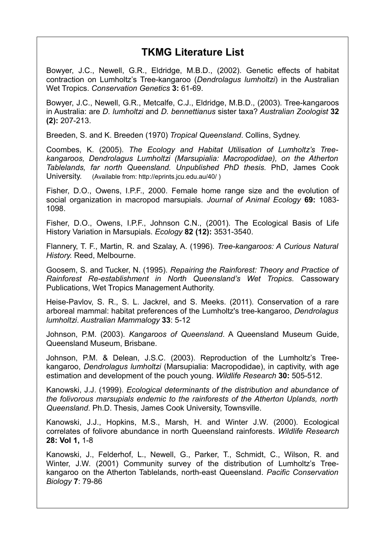## **TKMG Literature List**

Bowyer, J.C., Newell, G.R., Eldridge, M.B.D., (2002). Genetic effects of habitat contraction on Lumholtz's Tree-kangaroo (*Dendrolagus lumholtzi*) in the Australian Wet Tropics. *Conservation Genetics* **3:** 61-69.

Bowyer, J.C., Newell, G.R., Metcalfe, C.J., Eldridge, M.B.D., (2003). Tree-kangaroos in Australia: are *D. lumholtzi* and *D. bennettianus* sister taxa? *Australian Zoologist* **32 (2):** 207-213.

Breeden, S. and K. Breeden (1970) *Tropical Queensland*. Collins, Sydney.

Coombes, K. (2005). *The Ecology and Habitat Utilisation of Lumholtz's Treekangaroos, Dendrolagus Lumholtzi (Marsupialia: Macropodidae), on the Atherton Tablelands, far north Queensland. Unpublished PhD thesis.* PhD, James Cook University. (Available from: http://eprints.jcu.edu.au/40/ )

Fisher, D.O., Owens, I.P.F., 2000. Female home range size and the evolution of social organization in macropod marsupials. *Journal of Animal Ecology* **69:** 1083- 1098.

Fisher, D.O., Owens, I.P.F., Johnson C.N., (2001). The Ecological Basis of Life History Variation in Marsupials. *Ecology* **82 (12):** 3531-3540.

Flannery, T. F., Martin, R. and Szalay, A. (1996). *Tree-kangaroos: A Curious Natural History*. Reed, Melbourne.

Goosem, S. and Tucker, N. (1995). *Repairing the Rainforest: Theory and Practice of Rainforest Re-establishment in North Queensland's Wet Tropics.* Cassowary Publications, Wet Tropics Management Authority.

Heise-Pavlov, S. R., S. L. Jackrel, and S. Meeks. (2011). Conservation of a rare arboreal mammal: habitat preferences of the Lumholtz's tree-kangaroo, *Dendrolagus lumholtzi*. *Australian Mammalogy* **33**: 5-12

Johnson, P.M. (2003). *Kangaroos of Queensland*. A Queensland Museum Guide, Queensland Museum, Brisbane.

Johnson, P.M. & Delean, J.S.C. (2003). Reproduction of the Lumholtz's Treekangaroo, *Dendrolagus lumholtzi* (Marsupialia: Macropodidae), in captivity, with age estimation and development of the pouch young. *Wildlife Research* **30:** 505-512.

Kanowski, J.J. (1999). *Ecological determinants of the distribution and abundance of the folivorous marsupials endemic to the rainforests of the Atherton Uplands, north Queensland*. Ph.D. Thesis, James Cook University, Townsville.

Kanowski, J.J., Hopkins, M.S., Marsh, H. and Winter J.W. (2000). Ecological correlates of folivore abundance in north Queensland rainforests. *Wildlife Research* **28: Vol 1,** 1-8

Kanowski, J., Felderhof, L., Newell, G., Parker, T., Schmidt, C., Wilson, R. and Winter, J.W. (2001) Community survey of the distribution of Lumholtz's Treekangaroo on the Atherton Tablelands, north-east Queensland. *Pacific Conservation Biology* **7**: 79-86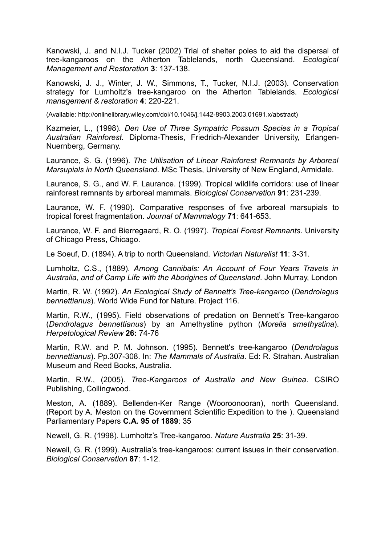Kanowski, J. and N.I.J. Tucker (2002) Trial of shelter poles to aid the dispersal of tree-kangaroos on the Atherton Tablelands, north Queensland. *Ecological Management and Restoration* **3**: 137-138.

Kanowski, J. J., Winter, J. W., Simmons, T., Tucker, N.I.J. (2003). Conservation strategy for Lumholtz's tree-kangaroo on the Atherton Tablelands. *Ecological management & restoration* **4**: 220-221.

(Available: http://onlinelibrary.wiley.com/doi/10.1046/j.1442-8903.2003.01691.x/abstract)

Kazmeier, L., (1998). *Den Use of Three Sympatric Possum Species in a Tropical Australian Rainforest.* Diploma-Thesis, Friedrich-Alexander University, Erlangen-Nuernberg, Germany.

Laurance, S. G. (1996). *The Utilisation of Linear Rainforest Remnants by Arboreal Marsupials in North Queensland*. MSc Thesis, University of New England, Armidale.

Laurance, S. G., and W. F. Laurance. (1999). Tropical wildlife corridors: use of linear rainforest remnants by arboreal mammals. *Biological Conservation* **91**: 231-239.

Laurance, W. F. (1990). Comparative responses of five arboreal marsupials to tropical forest fragmentation. *Journal of Mammalogy* **71**: 641-653.

Laurance, W. F. and Bierregaard, R. O. (1997). *Tropical Forest Remnants*. University of Chicago Press, Chicago.

Le Soeuf, D. (1894). A trip to north Queensland. *Victorian Naturalist* **11**: 3-31.

Lumholtz, C.S., (1889). *Among Cannibals: An Account of Four Years Travels in Australia, and of Camp Life with the Aborigines of Queensland*. John Murray, London

Martin, R. W. (1992). *An Ecological Study of Bennett's Tree-kangaroo* (*Dendrolagus bennettianus*). World Wide Fund for Nature. Project 116.

Martin, R.W., (1995). Field observations of predation on Bennett's Tree-kangaroo (*Dendrolagus bennettianus*) by an Amethystine python (*Morelia amethystina*). *Herpetological Review* **26:** 74-76

Martin, R.W. and P. M. Johnson. (1995). Bennett's tree-kangaroo (*Dendrolagus bennettianus*). Pp.307-308. In: *The Mammals of Australia*. Ed: R. Strahan. Australian Museum and Reed Books, Australia.

Martin, R.W., (2005). *Tree-Kangaroos of Australia and New Guinea*. CSIRO Publishing, Collingwood.

Meston, A. (1889). Bellenden-Ker Range (Wooroonooran), north Queensland. (Report by A. Meston on the Government Scientific Expedition to the ). Queensland Parliamentary Papers **C.A. 95 of 1889**: 35

Newell, G. R. (1998). Lumholtz's Tree-kangaroo. *Nature Australia* **25**: 31-39.

Newell, G. R. (1999). Australia's tree-kangaroos: current issues in their conservation. *Biological Conservation* **87**: 1-12.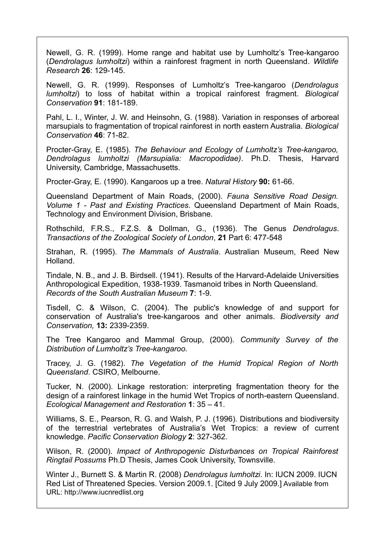Newell, G. R. (1999). Home range and habitat use by Lumholtz's Tree-kangaroo (*Dendrolagus lumholtzi*) within a rainforest fragment in north Queensland. *Wildlife Research* **26**: 129-145.

Newell, G. R. (1999). Responses of Lumholtz's Tree-kangaroo (*Dendrolagus lumholtzi*) to loss of habitat within a tropical rainforest fragment. *Biological Conservation* **91**: 181-189.

Pahl, L. I., Winter, J. W. and Heinsohn, G. (1988). Variation in responses of arboreal marsupials to fragmentation of tropical rainforest in north eastern Australia. *Biological Conservation* **46**: 71-82.

Procter-Gray, E. (1985). *The Behaviour and Ecology of Lumholtz's Tree-kangaroo, Dendrolagus lumholtzi (Marsupialia: Macropodidae)*. Ph.D. Thesis, Harvard University, Cambridge, Massachusetts.

Procter-Gray, E. (1990). Kangaroos up a tree. *Natural History* **90:** 61-66.

Queensland Department of Main Roads, (2000). *Fauna Sensitive Road Design. Volume 1 - Past and Existing Practices*. Queensland Department of Main Roads, Technology and Environment Division, Brisbane.

Rothschild, F.R.S., F.Z.S. & Dollman, G., (1936). The Genus *Dendrolagus*. *Transactions of the Zoological Society of London*, **21** Part 6: 477-548

Strahan, R. (1995). *The Mammals of Australia*. Australian Museum, Reed New Holland.

Tindale, N. B., and J. B. Birdsell. (1941). Results of the Harvard-Adelaide Universities Anthropological Expedition, 1938-1939. Tasmanoid tribes in North Queensland. *Records of the South Australian Museum* **7**: 1-9.

Tisdell, C. & Wilson, C. (2004). The public's knowledge of and support for conservation of Australia's tree-kangaroos and other animals. *Biodiversity and Conservation,* **13:** 2339-2359.

The Tree Kangaroo and Mammal Group, (2000). *Community Survey of the Distribution of Lumholtz's Tree-kangaroo.*

Tracey, J. G. (1982). *The Vegetation of the Humid Tropical Region of North Queensland*. CSIRO, Melbourne.

Tucker, N. (2000). Linkage restoration: interpreting fragmentation theory for the design of a rainforest linkage in the humid Wet Tropics of north-eastern Queensland. *Ecological Management and Restoration* **1**: 35 – 41.

Williams, S. E., Pearson, R. G. and Walsh, P. J. (1996). Distributions and biodiversity of the terrestrial vertebrates of Australia's Wet Tropics: a review of current knowledge. *Pacific Conservation Biology* **2**: 327-362.

Wilson, R. (2000). *Impact of Anthropogenic Disturbances on Tropical Rainforest Ringtail Possums* Ph.D Thesis, James Cook University, Townsville.

Winter J., Burnett S. & Martin R. (2008) *Dendrolagus lumholtzi*. In: IUCN 2009. IUCN Red List of Threatened Species. Version 2009.1. [Cited 9 July 2009.] Available from URL: http://www.iucnredlist.org